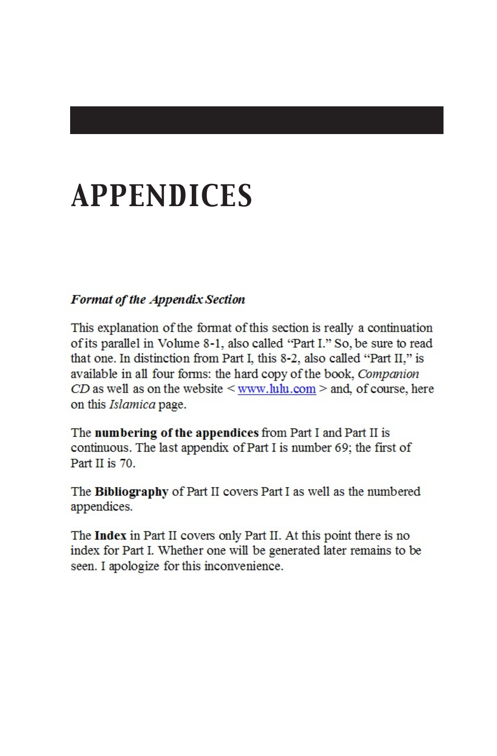# *APPENDICES*

#### **Format of the Appendix Section**

This explanation of the format of this section is really a continuation of its parallel in Volume 8-1, also called "Part I," So, be sure to read that one. In distinction from Part I, this 8-2, also called "Part II," is available in all four forms: the hard copy of the book, Companion  $CD$  as well as on the website  $\leq$  www.lulu.com  $>$  and, of course, here on this *Islamica* page.

The numbering of the appendices from Part I and Part II is continuous. The last appendix of Part I is number 69; the first of Part II is 70.  $\text{ATL}$  **li** is 70.

The **Bibliography** of Part II covers Part I as well as the numbered appendices.

The **Index** in Part II covers only Part II. At this point there is no index for Part I. Whether one will be generated later remains to be seen. I apologize for this inconvenience.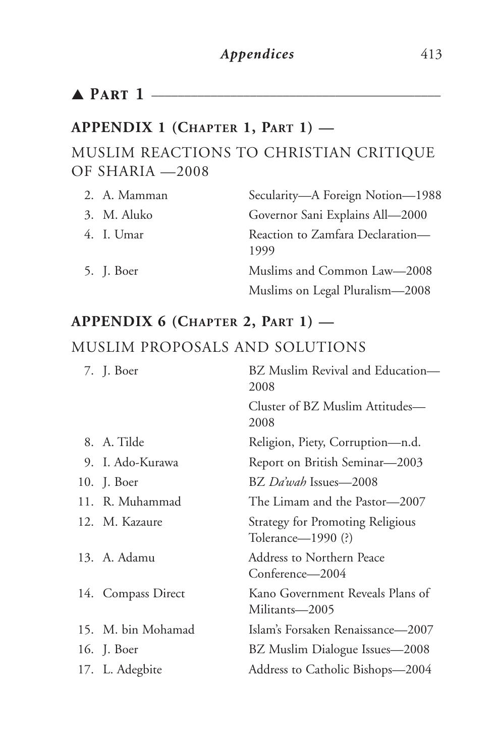## ▲ *Part 1* \_\_\_\_\_\_\_\_\_\_\_\_\_\_\_\_\_\_\_\_\_\_\_\_\_\_\_\_\_\_\_\_\_\_\_\_\_\_\_\_\_\_\_\_

#### **APPENDIX 1 (CHAPTER 1, PART 1) —**

#### MUSLIM REACTIONS TO CHRISTIAN CRITIQUE OF SHARIA —2008

| 2. A. Mamman | Secularity—A Foreign Notion—1988         |
|--------------|------------------------------------------|
| 3. M. Aluko  | Governor Sani Explains All-2000          |
| 4. I. Umar   | Reaction to Zamfara Declaration—<br>1999 |
| 5. J. Boer   | Muslims and Common Law-2008              |
|              | Muslims on Legal Pluralism-2008          |

## **APPENDIX 6 (CHAPTER 2, PART 1) —** MUSLIM PROPOSALS AND SOLUTIONS

| 7. J. Boer         | BZ Muslim Revival and Education-<br>2008               |
|--------------------|--------------------------------------------------------|
|                    | Cluster of BZ Muslim Attitudes—<br>2008                |
| 8. A. Tilde        | Religion, Piety, Corruption—n.d.                       |
| 9. I. Ado-Kurawa   | Report on British Seminar—2003                         |
| 10. J. Boer        | BZ Da'wah Issues—2008                                  |
| 11. R. Muhammad    | The Limam and the Pastor—2007                          |
| 12. M. Kazaure     | Strategy for Promoting Religious<br>Tolerance—1990 (?) |
| 13. A. Adamu       | Address to Northern Peace<br>Conference—2004           |
| 14. Compass Direct | Kano Government Reveals Plans of<br>Militants-2005     |
| 15. M. bin Mohamad | Islam's Forsaken Renaissance—2007                      |
| 16. J. Boer        | BZ Muslim Dialogue Issues—2008                         |
| 17. L. Adegbite    | Address to Catholic Bishops—2004                       |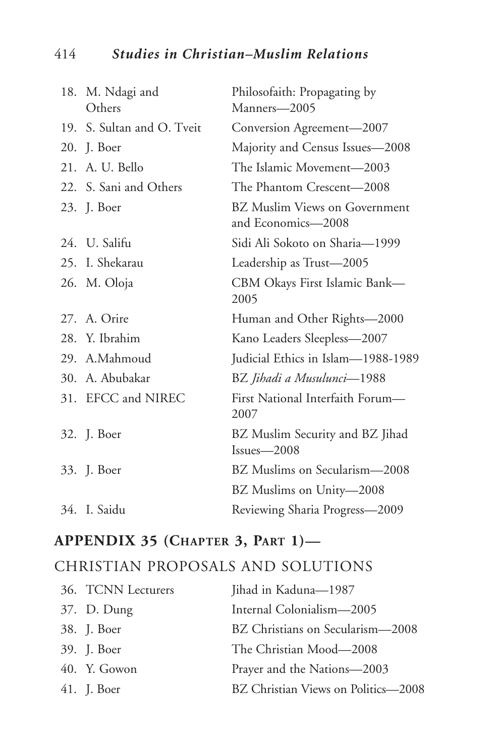#### 414 *Studies in Christian–Muslim Relations*

| 18. M. Ndagi and<br>Others | Philosofaith: Propagating by<br>Manners-2005               |
|----------------------------|------------------------------------------------------------|
| 19. S. Sultan and O. Tveit | Conversion Agreement-2007                                  |
| 20. J. Boer                | Majority and Census Issues-2008                            |
| 21. A. U. Bello            | The Islamic Movement-2003                                  |
| 22. S. Sani and Others     | The Phantom Crescent—2008                                  |
| 23. J. Boer                | <b>BZ</b> Muslim Views on Government<br>and Economics-2008 |
| 24. U. Salifu              | Sidi Ali Sokoto on Sharia-1999                             |
| 25. I. Shekarau            | Leadership as Trust-2005                                   |
| 26. M. Oloja               | CBM Okays First Islamic Bank-<br>2005                      |
| 27. A. Orire               | Human and Other Rights-2000                                |
| 28. Y. Ibrahim             | Kano Leaders Sleepless-2007                                |
| 29. A.Mahmoud              | Judicial Ethics in Islam-1988-1989                         |
| 30. A. Abubakar            | BZ Jihadi a Musulunci—1988                                 |
| 31. EFCC and NIREC         | First National Interfaith Forum-<br>2007                   |
| 32. J. Boer                | BZ Muslim Security and BZ Jihad<br>$Issues - 2008$         |
| 33. J. Boer                | BZ Muslims on Secularism-2008                              |
|                            | BZ Muslims on Unity-2008                                   |
| 34. I. Saidu               | Reviewing Sharia Progress-2009                             |

#### **APPENDIX 35 (CHAPTER 3, PART 1)—**

#### CHRISTIAN PROPOSALS AND SOLUTIONS

| 36. TCNN Lecturers | Jihad in Kaduna-1987                |
|--------------------|-------------------------------------|
| 37. D. Dung        | Internal Colonialism—2005           |
| 38. J. Boer        | BZ Christians on Secularism-2008    |
| 39. J. Boer        | The Christian Mood—2008             |
| $40.$ Y. Gowon     | Prayer and the Nations–2003         |
| 41. J. Boer        | BZ Christian Views on Politics-2008 |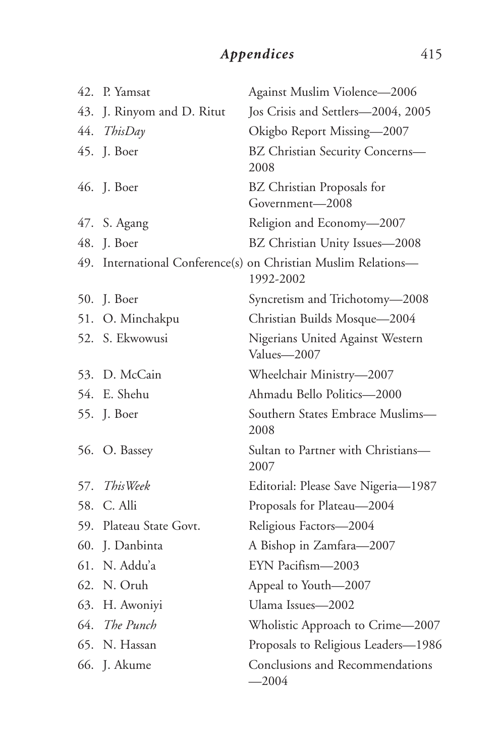### Appendices 415

| 42. | P. Yamsat               | Against Muslim Violence-2006                                                |
|-----|-------------------------|-----------------------------------------------------------------------------|
| 43. | J. Rinyom and D. Ritut  | Jos Crisis and Settlers-2004, 2005                                          |
| 44. | ThisDay                 | Okigbo Report Missing-2007                                                  |
| 45. | J. Boer                 | BZ Christian Security Concerns-<br>2008                                     |
|     | 46. J. Boer             | BZ Christian Proposals for<br>Government-2008                               |
|     | 47. S. Agang            | Religion and Economy-2007                                                   |
|     | 48. J. Boer             | BZ Christian Unity Issues-2008                                              |
|     |                         | 49. International Conference(s) on Christian Muslim Relations-<br>1992-2002 |
| 50. | J. Boer                 | Syncretism and Trichotomy-2008                                              |
|     | 51. O. Minchakpu        | Christian Builds Mosque-2004                                                |
|     | 52. S. Ekwowusi         | Nigerians United Against Western<br>Values-2007                             |
| 53. | D. McCain               | Wheelchair Ministry-2007                                                    |
|     | 54. E. Shehu            | Ahmadu Bello Politics-2000                                                  |
|     | 55. J. Boer             | Southern States Embrace Muslims-<br>2008                                    |
|     | 56. O. Bassey           | Sultan to Partner with Christians—<br>2007                                  |
| 57. | ThisWeek                | Editorial: Please Save Nigeria-1987                                         |
| 58. | C. Alli                 | Proposals for Plateau-2004                                                  |
|     | 59. Plateau State Govt. | Religious Factors-2004                                                      |
| 60. | J. Danbinta             | A Bishop in Zamfara-2007                                                    |
|     | 61. N. Addu'a           | EYN Pacifism-2003                                                           |
|     | 62. N. Oruh             | Appeal to Youth-2007                                                        |
|     | 63. H. Awoniyi          | Ulama Issues-2002                                                           |
|     | 64. The Punch           | Wholistic Approach to Crime-2007                                            |
|     | 65. N. Hassan           | Proposals to Religious Leaders-1986                                         |
|     | 66. J. Akume            | Conclusions and Recommendations<br>$-2004$                                  |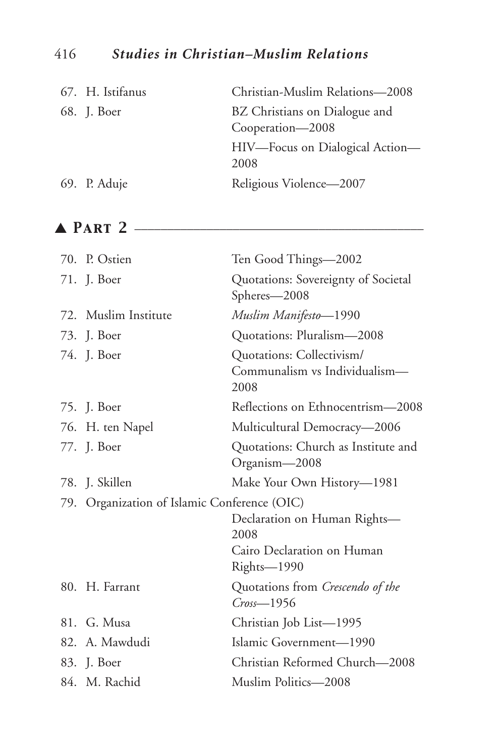#### 416 *Studies in Christian–Muslim Relations*

| 67. H. Istifanus | Christian-Muslim Relations-2008                   |
|------------------|---------------------------------------------------|
| 68. J. Boer      | BZ Christians on Dialogue and<br>Cooperation-2008 |
|                  | HIV—Focus on Dialogical Action—<br>2008           |
| 69. P. Aduje     | Religious Violence-2007                           |

#### ▲ *Part 2* \_\_\_\_\_\_\_\_\_\_\_\_\_\_\_\_\_\_\_\_\_\_\_\_\_\_\_\_\_\_\_\_\_\_\_\_\_\_\_\_\_\_\_\_

| 70. P. Ostien                                | Ten Good Things-2002                                                              |
|----------------------------------------------|-----------------------------------------------------------------------------------|
| 71. J. Boer                                  | Quotations: Sovereignty of Societal<br>Spheres-2008                               |
| 72. Muslim Institute                         | Muslim Manifesto-1990                                                             |
| 73. J. Boer                                  | Quotations: Pluralism—2008                                                        |
| 74. J. Boer                                  | Quotations: Collectivism/<br>Communalism vs Individualism-<br>2008                |
| 75. J. Boer                                  | Reflections on Ethnocentrism-2008                                                 |
| 76. H. ten Napel                             | Multicultural Democracy-2006                                                      |
| 77. J. Boer                                  | Quotations: Church as Institute and<br>Organism-2008                              |
| 78. J. Skillen                               | Make Your Own History-1981                                                        |
| 79. Organization of Islamic Conference (OIC) | Declaration on Human Rights-<br>2008<br>Cairo Declaration on Human<br>Rights-1990 |
| 80. H. Farrant                               | Quotations from Crescendo of the<br>$Cross - 1956$                                |
| 81. G. Musa                                  | Christian Job List-1995                                                           |
| 82. A. Mawdudi                               | Islamic Government-1990                                                           |
| 83. J. Boer                                  | Christian Reformed Church-2008                                                    |
| 84. M. Rachid                                | Muslim Politics-2008                                                              |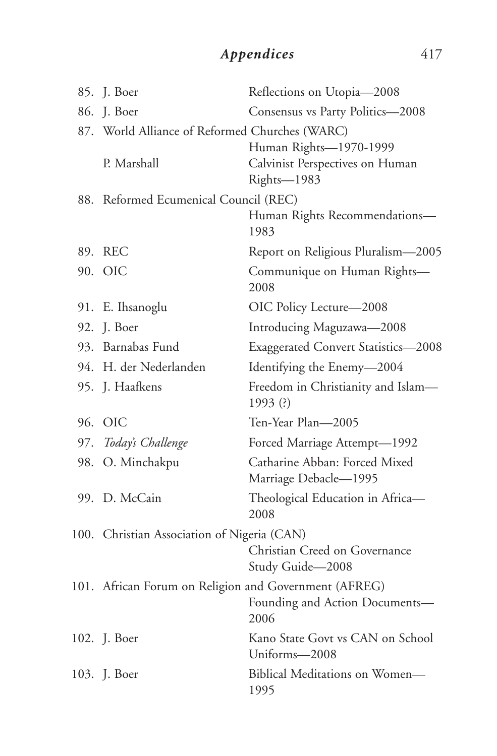## *Appendices* 417

|     | 85. J. Boer                                           | Reflections on Utopia-2008                             |
|-----|-------------------------------------------------------|--------------------------------------------------------|
|     | 86. J. Boer                                           | Consensus vs Party Politics-2008                       |
|     | 87. World Alliance of Reformed Churches (WARC)        |                                                        |
|     |                                                       | Human Rights-1970-1999                                 |
|     | P. Marshall                                           | Calvinist Perspectives on Human<br>Rights-1983         |
|     | 88. Reformed Ecumenical Council (REC)                 |                                                        |
|     |                                                       | Human Rights Recommendations-<br>1983                  |
|     | 89. REC                                               | Report on Religious Pluralism-2005                     |
|     | 90. OIC                                               | Communique on Human Rights-<br>2008                    |
|     | 91. E. Ihsanoglu                                      | OIC Policy Lecture-2008                                |
|     | 92. J. Boer                                           | Introducing Maguzawa-2008                              |
|     | 93. Barnabas Fund                                     | <b>Exaggerated Convert Statistics-2008</b>             |
|     | 94. H. der Nederlanden                                | Identifying the Enemy-2004                             |
|     | 95. J. Haafkens                                       | Freedom in Christianity and Islam-<br>1993 (?)         |
|     | 96. OIC                                               | Ten-Year Plan—2005                                     |
|     | 97. Today's Challenge                                 | Forced Marriage Attempt-1992                           |
| 98. | O. Minchakpu                                          | Catharine Abban: Forced Mixed<br>Marriage Debacle-1995 |
|     | 99. D. McCain                                         | Theological Education in Africa-<br>2008               |
|     | 100. Christian Association of Nigeria (CAN)           |                                                        |
|     |                                                       | Christian Creed on Governance<br>Study Guide-2008      |
|     | 101. African Forum on Religion and Government (AFREG) |                                                        |
|     |                                                       | Founding and Action Documents-<br>2006                 |
|     | 102. J. Boer                                          | Kano State Govt vs CAN on School<br>Uniforms-2008      |
|     | 103. J. Boer                                          | Biblical Meditations on Women-<br>1995                 |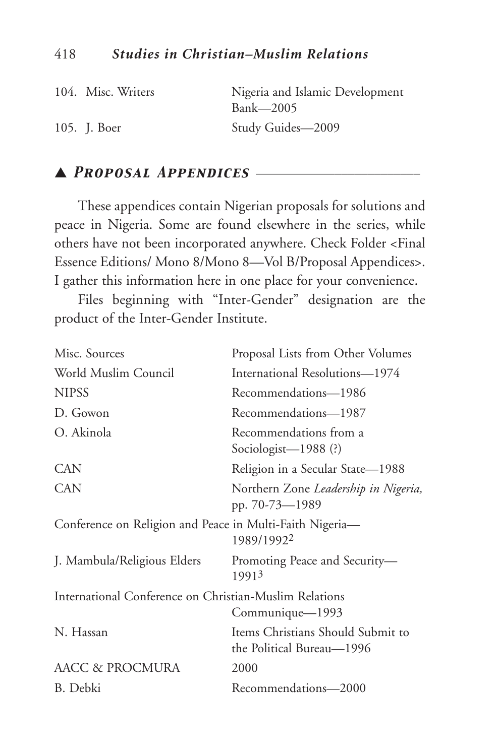| 104. Misc. Writers | Nigeria and Islamic Development<br>Bank—2005 |
|--------------------|----------------------------------------------|
| 105. J. Boer       | Study Guides-2009                            |

#### ▲ *Proposal Appendices* \_\_\_\_\_\_\_\_\_\_\_\_\_\_\_\_\_\_\_\_\_\_\_\_\_

These appendices contain Nigerian proposals for solutions and peace in Nigeria. Some are found elsewhere in the series, while others have not been incorporated anywhere. Check Folder <Final Essence Editions/ Mono 8/Mono 8—Vol B/Proposal Appendices>. I gather this information here in one place for your convenience.

Files beginning with "Inter-Gender" designation are the product of the Inter-Gender Institute.

| Misc. Sources                                            | Proposal Lists from Other Volumes                              |
|----------------------------------------------------------|----------------------------------------------------------------|
| World Muslim Council                                     | International Resolutions-1974                                 |
| <b>NIPSS</b>                                             | Recommendations-1986                                           |
| D. Gowon                                                 | Recommendations-1987                                           |
| O. Akinola                                               | Recommendations from a<br>Sociologist-1988 (?)                 |
| <b>CAN</b>                                               | Religion in a Secular State-1988                               |
| <b>CAN</b>                                               | Northern Zone Leadership in Nigeria,<br>pp. 70-73—1989         |
| Conference on Religion and Peace in Multi-Faith Nigeria- | 1989/19922                                                     |
| J. Mambula/Religious Elders                              | Promoting Peace and Security-<br>19913                         |
| International Conference on Christian-Muslim Relations   |                                                                |
|                                                          | Communique—1993                                                |
| N. Hassan                                                | Items Christians Should Submit to<br>the Political Bureau—1996 |
| AACC & PROCMURA                                          | 2000                                                           |
| B. Debki                                                 | Recommendations-2000                                           |